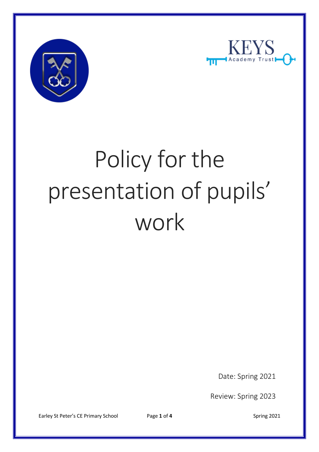



# Policy for the presentation of pupils' work

Date: Spring 2021

Review: Spring 2023

Earley St Peter's CE Primary School Page 1 of 4 Spring 2021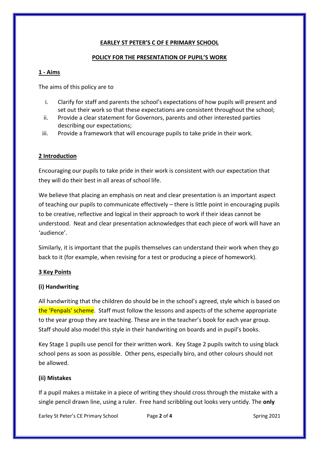## **EARLEY ST PETER'S C OF E PRIMARY SCHOOL**

#### **POLICY FOR THE PRESENTATION OF PUPIL'S WORK**

#### **1 - Aims**

The aims of this policy are to

- i. Clarify for staff and parents the school's expectations of how pupils will present and set out their work so that these expectations are consistent throughout the school;
- ii. Provide a clear statement for Governors, parents and other interested parties describing our expectations;
- iii. Provide a framework that will encourage pupils to take pride in their work.

#### **2 Introduction**

Encouraging our pupils to take pride in their work is consistent with our expectation that they will do their best in all areas of school life.

We believe that placing an emphasis on neat and clear presentation is an important aspect of teaching our pupils to communicate effectively – there is little point in encouraging pupils to be creative, reflective and logical in their approach to work if their ideas cannot be understood. Neat and clear presentation acknowledges that each piece of work will have an 'audience'.

Similarly, it is important that the pupils themselves can understand their work when they go back to it (for example, when revising for a test or producing a piece of homework).

#### **3 Key Points**

#### **(i) Handwriting**

All handwriting that the children do should be in the school's agreed, style which is based on the 'Penpals' scheme. Staff must follow the lessons and aspects of the scheme appropriate to the year group they are teaching. These are in the teacher's book for each year group. Staff should also model this style in their handwriting on boards and in pupil's books.

Key Stage 1 pupils use pencil for their written work. Key Stage 2 pupils switch to using black school pens as soon as possible. Other pens, especially biro, and other colours should not be allowed.

#### **(ii) Mistakes**

If a pupil makes a mistake in a piece of writing they should cross through the mistake with a single pencil drawn line, using a ruler. Free hand scribbling out looks very untidy. The **only** 

Earley St Peter's CE Primary School Page 2 of 4 Spring 2021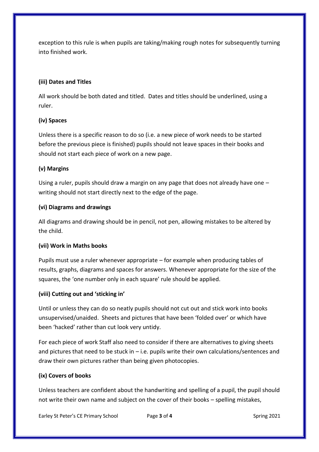exception to this rule is when pupils are taking/making rough notes for subsequently turning into finished work.

## **(iii) Dates and Titles**

All work should be both dated and titled. Dates and titles should be underlined, using a ruler.

## **(iv) Spaces**

Unless there is a specific reason to do so (i.e. a new piece of work needs to be started before the previous piece is finished) pupils should not leave spaces in their books and should not start each piece of work on a new page.

## **(v) Margins**

Using a ruler, pupils should draw a margin on any page that does not already have one – writing should not start directly next to the edge of the page.

## **(vi) Diagrams and drawings**

All diagrams and drawing should be in pencil, not pen, allowing mistakes to be altered by the child.

### **(vii) Work in Maths books**

Pupils must use a ruler whenever appropriate – for example when producing tables of results, graphs, diagrams and spaces for answers. Whenever appropriate for the size of the squares, the 'one number only in each square' rule should be applied.

# **(viii) Cutting out and 'sticking in'**

Until or unless they can do so neatly pupils should not cut out and stick work into books unsupervised/unaided. Sheets and pictures that have been 'folded over' or which have been 'hacked' rather than cut look very untidy.

For each piece of work Staff also need to consider if there are alternatives to giving sheets and pictures that need to be stuck in – i.e. pupils write their own calculations/sentences and draw their own pictures rather than being given photocopies.

# **(ix) Covers of books**

Unless teachers are confident about the handwriting and spelling of a pupil, the pupil should not write their own name and subject on the cover of their books – spelling mistakes,

Earley St Peter's CE Primary School Page **3** of **4** Spring 2021